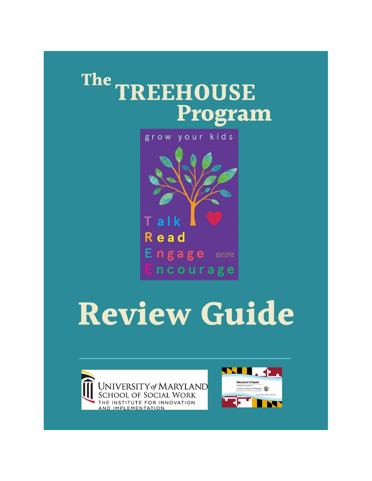## The TREEHOUSE Program

grow your kids Talk **Read** Engage === ncourage

# **Review Guide**



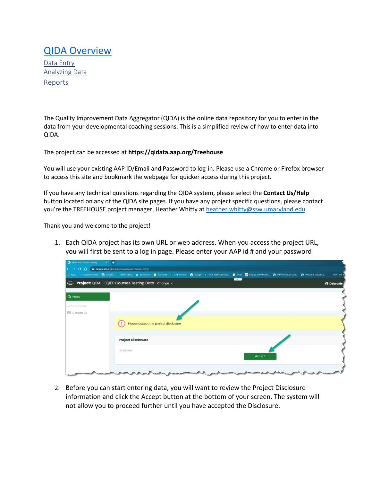### [QIDA Overview](#page-0-0)

[Data Entry](#page-3-0) [Analyzing Data](#page-5-0) [Reports](#page-6-0)

The Quality Improvement Data Aggregator (QIDA) is the online data repository for you to enter in the data from your developmental coaching sessions. This is a simplified review of how to enter data into QIDA.

The project can be accessed at **https://qidata.aap.org/Treehouse**

You will use your existing AAP ID/Email and Password to log-in. Please use a Chrome or Firefox browser to access this site and bookmark the webpage for quicker access during this project.

If you have any technical questions regarding the QIDA system, please select the **Contact Us/Help** button located on any of the QIDA site pages. If you have any project specific questions, please contact you're the TREEHOUSE project manager, Heather Whitty at [heather.whitty@ssw.umaryland.edu](file:///E:/Professional/AAP%20Poverty%20Task%20Force/Healthy%20Tomorrows/TREEHOUSE%20QUALITY%20IMPROVEMENT%20PROGRAM/TREEHOUSE%20MDAAP%20WEBSITE%20CONTENT/heather.whitty@ssw.umaryland.edu)

Thank you and welcome to the project!

1. Each QIDA project has its own URL or web address. When you access the project URL, you will first be sent to a log in page. Please enter your AAP id # and your password

| Welcome   qidata.aap.org<br>$\times$ $+$ |                                                                                                                                                                                                            |                   |
|------------------------------------------|------------------------------------------------------------------------------------------------------------------------------------------------------------------------------------------------------------|-------------------|
| $\leftarrow \rightarrow$                 | $C \bigcirc$ $\hat{C}$ a qidata.aap.org/equipp2/welcome?status=terms                                                                                                                                       |                   |
|                                          | 1. Apps by Suggested Sites ● Google W HTML td tag ★ Bookmarks ■ AAP.ORG \$ AAP Intranet ● Google \$ DOE Staff_Calendar ■ Email En Login   ADP Workfo ● APP Product Suite ● Welcome   qidata.a ■ ADP Time & |                   |
|                                          | $\overline{\phantom{a}}$<br><b>EDUA - EQIPP Courses Testing Data</b> Change v                                                                                                                              | <b>A</b> Debra Br |
|                                          |                                                                                                                                                                                                            |                   |
| for Home                                 |                                                                                                                                                                                                            |                   |
| <b>HAVE A QUESITON?</b>                  |                                                                                                                                                                                                            |                   |
| <b>⊠</b> Contact Us                      |                                                                                                                                                                                                            |                   |
|                                          | Please accept the project disclosure                                                                                                                                                                       |                   |
|                                          |                                                                                                                                                                                                            |                   |
|                                          | <b>Project Disclosure</b>                                                                                                                                                                                  |                   |
|                                          | $\equiv$   Insert Text<br>Accept                                                                                                                                                                           |                   |
|                                          |                                                                                                                                                                                                            |                   |

2. Before you can start entering data, you will want to review the Project Disclosure information and click the Accept button at the bottom of your screen. The system will not allow you to proceed further until you have accepted the Disclosure.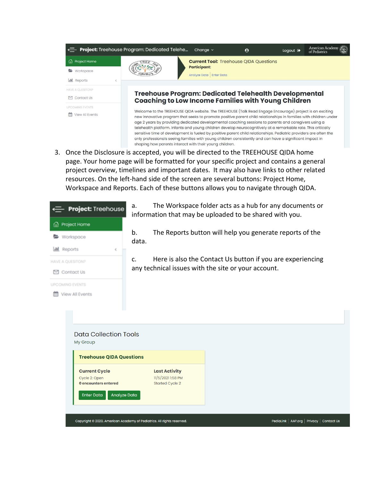

3. Once the Disclosure is accepted, you will be directed to the TREEHOUSE QIDA home page. Your home page will be formatted for your specific project and contains a general project overview, timelines and important dates. It may also have links to other related resources. On the left-hand side of the screen are several buttons: Project Home, Workspace and Reports. Each of these buttons allows you to navigate through QIDA.

| Project: Treehouse                                                                | a.                                                                     | The Workspace folder acts as a hub for any documents or<br>information that may be uploaded to be shared with you. |  |  |
|-----------------------------------------------------------------------------------|------------------------------------------------------------------------|--------------------------------------------------------------------------------------------------------------------|--|--|
| Project Home<br>fа                                                                |                                                                        |                                                                                                                    |  |  |
| Workspace                                                                         | b.<br>data.                                                            | The Reports button will help you generate reports of the                                                           |  |  |
| <b>Jul</b> Reports<br>ć                                                           |                                                                        |                                                                                                                    |  |  |
| HAVE A QUESITON?                                                                  | $C_{\cdot}$                                                            | Here is also the Contact Us button if you are experiencing                                                         |  |  |
| <b>⊠</b> Contact Us                                                               |                                                                        | any technical issues with the site or your account.                                                                |  |  |
| <b>UPCOMING EVENTS</b>                                                            |                                                                        |                                                                                                                    |  |  |
| View All Events                                                                   |                                                                        |                                                                                                                    |  |  |
| <b>Data Collection Tools</b><br>My Group<br><b>Treehouse QIDA Questions</b>       |                                                                        |                                                                                                                    |  |  |
| <b>Current Cycle</b>                                                              | <b>Last Activity</b>                                                   |                                                                                                                    |  |  |
| Cycle 2: Open<br>0 encounters entered<br><b>Analyze Data</b><br><b>Enter Data</b> | 11/5/2021 1:58 PM<br><b>Started Cycle 2</b>                            |                                                                                                                    |  |  |
|                                                                                   |                                                                        |                                                                                                                    |  |  |
|                                                                                   | Copyright © 2020. American Academy of Pediatrics. All rights reserved. | PediaLink   AAP.org   Privacy   Contact Us                                                                         |  |  |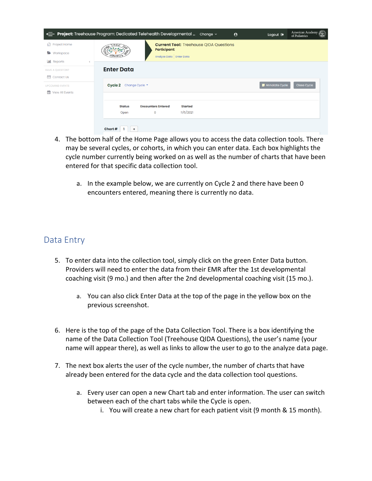|                                                                 | ← Project: Treehouse Program: Dedicated Telehealth Developmental  change v<br>$\boldsymbol{\Theta}$                      | American Academy<br>Logout $\mathbf{\Theta}$<br>of Pediatrics |  |
|-----------------------------------------------------------------|--------------------------------------------------------------------------------------------------------------------------|---------------------------------------------------------------|--|
| fm Project Home<br><b>Norkspace</b><br><b>III</b> Reports<br>k. | <b>Current Tool: Treehouse QIDA Questions</b><br>TREE<br><b>Participant:</b><br>Analyze Data   Enter Data                |                                                               |  |
| <b>HAVE A QUESITON?</b><br>$\boxdot$ Contact Us                 | <b>Enter Data</b>                                                                                                        |                                                               |  |
| <b>UPCOMING EVENTS</b><br>雦<br>View All Events                  | Cycle 2<br>Change Cycle *                                                                                                | Annotate Cycle<br>Close Cycle                                 |  |
|                                                                 | <b>Status</b><br><b>Encounters Entered</b><br><b>Started</b><br>11/5/2021<br>$\mathbf 0$<br>Open<br>Chart #<br>$\ddot{}$ |                                                               |  |

- 4. The bottom half of the Home Page allows you to access the data collection tools. There may be several cycles, or cohorts, in which you can enter data. Each box highlights the cycle number currently being worked on as well as the number of charts that have been entered for that specific data collection tool.
	- a. In the example below, we are currently on Cycle 2 and there have been 0 encounters entered, meaning there is currently no data.

#### <span id="page-3-0"></span>Data Entry

- 5. To enter data into the collection tool, simply click on the green Enter Data button. Providers will need to enter the data from their EMR after the 1st developmental coaching visit (9 mo.) and then after the 2nd developmental coaching visit (15 mo.).
	- a. You can also click Enter Data at the top of the page in the yellow box on the previous screenshot.
- 6. Here is the top of the page of the Data Collection Tool. There is a box identifying the name of the Data Collection Tool (Treehouse QIDA Questions), the user's name (your name will appear there), as well as links to allow the user to go to the analyze data page.
- 7. The next box alerts the user of the cycle number, the number of charts that have already been entered for the data cycle and the data collection tool questions.
	- a. Every user can open a new Chart tab and enter information. The user can switch between each of the chart tabs while the Cycle is open.
		- i. You will create a new chart for each patient visit (9 month & 15 month).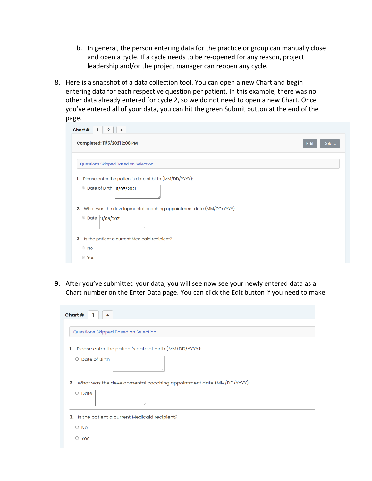- b. In general, the person entering data for the practice or group can manually close and open a cycle. If a cycle needs to be re-opened for any reason, project leadership and/or the project manager can reopen any cycle.
- 8. Here is a snapshot of a data collection tool. You can open a new Chart and begin entering data for each respective question per patient. In this example, there was no other data already entered for cycle 2, so we do not need to open a new Chart. Once you've entered all of your data, you can hit the green Submit button at the end of the page.

| Chart #<br>$\mathbf{2}$<br>÷                                             |                       |
|--------------------------------------------------------------------------|-----------------------|
| Completed: 11/5/2021 2:08 PM                                             | Edit<br><b>Delete</b> |
| Questions Skipped Based on Selection                                     |                       |
| Please enter the patient's date of birth (MM/DD/YYYY):<br>1.             |                       |
| Date of Birth  11/05/2021<br>$\odot$                                     |                       |
| What was the developmental coaching appointment date (MM/DD/YYYY):<br>2. |                       |
| $\odot$<br>Date 11/05/2021                                               |                       |
| 3. Is the patient a current Medicaid recipient?                          |                       |
| $\circ$ No                                                               |                       |
| ◎ Yes                                                                    |                       |

9. After you've submitted your data, you will see now see your newly entered data as a Chart number on the Enter Data page. You can click the Edit button if you need to make

| Chart #                                                                  |
|--------------------------------------------------------------------------|
| Questions Skipped Based on Selection                                     |
| 1. Please enter the patient's date of birth (MM/DD/YYYY):                |
| $\circ$ Date of Birth                                                    |
| What was the developmental coaching appointment date (MM/DD/YYYY):<br>2. |
| $\circ$ Date                                                             |
| 3. Is the patient a current Medicaid recipient?                          |
| $\circ$ No                                                               |
| $\circ$ Yes                                                              |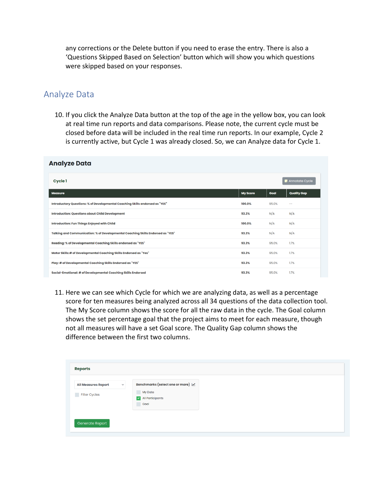any corrections or the Delete button if you need to erase the entry. There is also a 'Questions Skipped Based on Selection' button which will show you which questions were skipped based on your responses.

#### <span id="page-5-0"></span>Analyze Data

10. If you click the Analyze Data button at the top of the age in the yellow box, you can look at real time run reports and data comparisons. Please note, the current cycle must be closed before data will be included in the real time run reports. In our example, Cycle 2 is currently active, but Cycle 1 was already closed. So, we can Analyze data for Cycle 1.

| Analyze Data                                                                    |                 |       |                    |
|---------------------------------------------------------------------------------|-----------------|-------|--------------------|
| <b>Cycle 1</b>                                                                  |                 |       |                    |
| <b>Measure</b>                                                                  | <b>My Score</b> | Goal  | <b>Quality Gap</b> |
| Introductory Questions: % of Developmental Coaching Skills endorsed as "YES"    | 100.0%          | 95.0% | $-$                |
| <b>Introduction: Questions about Child Development</b>                          | 93.3%           | N/A   | N/A                |
| Introduction: Fun Things Enjoyed with Child                                     |                 | N/A   | N/A                |
| Talking and Communication: % of Developmental Coaching Skills Endorsed as "YES" |                 | N/A   | N/A                |
| Reading: % of Developmental Coaching Skills endorsed as "YES"                   |                 | 95.0% | 1.7%               |
| Motor Skills:# of Developmental Coaching Skills Endorsed as "Yes"               |                 | 95.0% | 1.7%               |
| Play: # of Developmental Coaching Skills Endorsed as "YES"                      | 93.3%           | 95.0% | 1.7%               |
| Social-Emotional: # of Developmental Coaching Skills Endorsed                   | 93.3%           | 95.0% | 1.7%               |

11. Here we can see which Cycle for which we are analyzing data, as well as a percentage score for ten measures being analyzed across all 34 questions of the data collection tool. The My Score column shows the score for all the raw data in the cycle. The Goal column shows the set percentage goal that the project aims to meet for each measure, though not all measures will have a set Goal score. The Quality Gap column shows the difference between the first two columns.